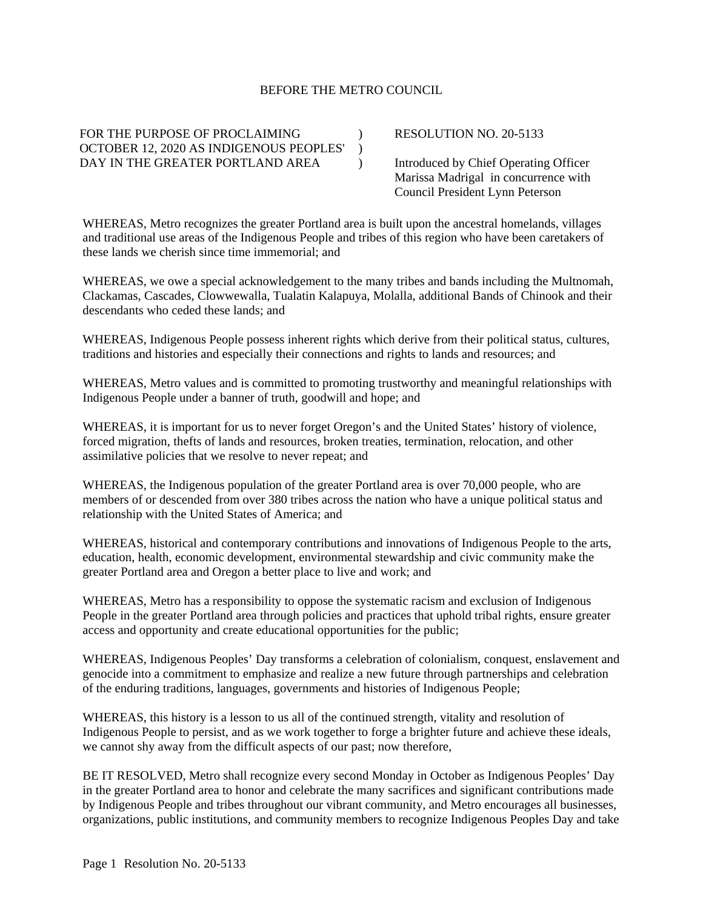## BEFORE THE METRO COUNCIL

 $\mathcal{L}$  $\lambda$  $\lambda$ 

FOR THE PURPOSE OF PROCLAIMING OCTOBER 12, 2020 AS INDIGENOUS PEOPLES' DAY IN THE GREATER PORTLAND AREA

RESOLUTION NO. 20-5133

Introduced by Chief Operating Officer Marissa Madrigal in concurrence with Council President Lynn Peterson

WHEREAS, Metro recognizes the greater Portland area is built upon the ancestral homelands, villages and traditional use areas of the Indigenous People and tribes of this region who have been caretakers of these lands we cherish since time immemorial; and

WHEREAS, we owe a special acknowledgement to the many tribes and bands including the Multnomah, Clackamas, Cascades, Clowwewalla, Tualatin Kalapuya, Molalla, additional Bands of Chinook and their descendants who ceded these lands; and

WHEREAS, Indigenous People possess inherent rights which derive from their political status, cultures, traditions and histories and especially their connections and rights to lands and resources; and

WHEREAS, Metro values and is committed to promoting trustworthy and meaningful relationships with Indigenous People under a banner of truth, goodwill and hope; and

WHEREAS, it is important for us to never forget Oregon's and the United States' history of violence, forced migration, thefts of lands and resources, broken treaties, termination, relocation, and other assimilative policies that we resolve to never repeat; and

WHEREAS, the Indigenous population of the greater Portland area is over 70,000 people, who are members of or descended from over 380 tribes across the nation who have a unique political status and relationship with the United States of America; and

WHEREAS, historical and contemporary contributions and innovations of Indigenous People to the arts, education, health, economic development, environmental stewardship and civic community make the greater Portland area and Oregon a better place to live and work; and

WHEREAS, Metro has a responsibility to oppose the systematic racism and exclusion of Indigenous People in the greater Portland area through policies and practices that uphold tribal rights, ensure greater access and opportunity and create educational opportunities for the public;

WHEREAS, Indigenous Peoples' Day transforms a celebration of colonialism, conquest, enslavement and genocide into a commitment to emphasize and realize a new future through partnerships and celebration of the enduring traditions, languages, governments and histories of Indigenous People;

WHEREAS, this history is a lesson to us all of the continued strength, vitality and resolution of Indigenous People to persist, and as we work together to forge a brighter future and achieve these ideals, we cannot shy away from the difficult aspects of our past; now therefore,

BE IT RESOLVED, Metro shall recognize every second Monday in October as Indigenous Peoples' Day in the greater Portland area to honor and celebrate the many sacrifices and significant contributions made by Indigenous People and tribes throughout our vibrant community, and Metro encourages all businesses, organizations, public institutions, and community members to recognize Indigenous Peoples Day and take